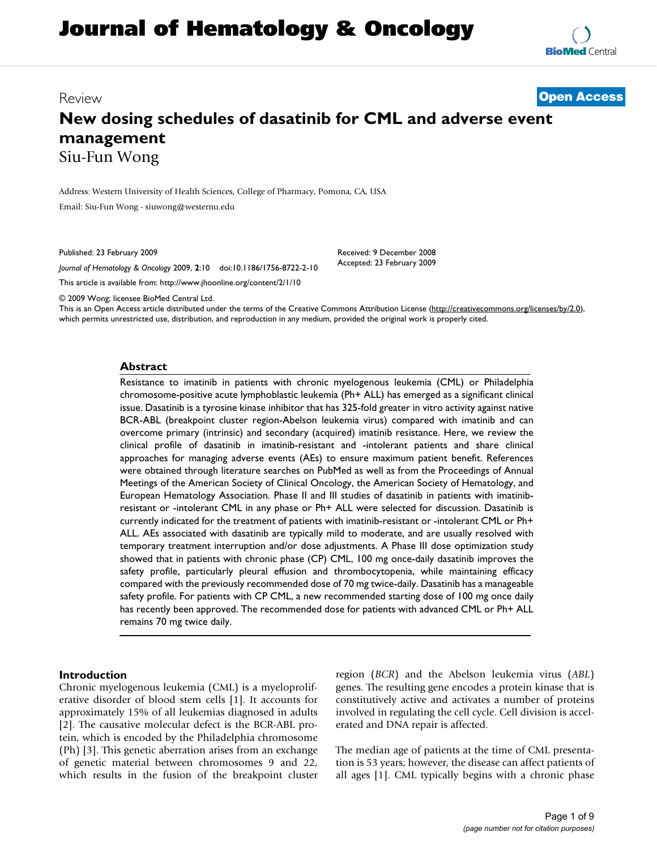# **Journal of Hematology & Oncology**

**[BioMed](http://www.biomedcentral.com/)** Central

### Review **[Open Access](http://www.biomedcentral.com/info/about/charter/)**

## **New dosing schedules of dasatinib for CML and adverse event management** Siu-Fun Wong

Address: Western University of Health Sciences, College of Pharmacy, Pomona, CA, USA Email: Siu-Fun Wong - siuwong@westernu.edu

Published: 23 February 2009

*Journal of Hematology & Oncology* 2009, **2**:10 doi:10.1186/1756-8722-2-10

[This article is available from: http://www.jhoonline.org/content/2/1/10](http://www.jhoonline.org/content/2/1/10)

© 2009 Wong; licensee BioMed Central Ltd.

This is an Open Access article distributed under the terms of the Creative Commons Attribution License [\(http://creativecommons.org/licenses/by/2.0\)](http://creativecommons.org/licenses/by/2.0), which permits unrestricted use, distribution, and reproduction in any medium, provided the original work is properly cited.

Received: 9 December 2008 Accepted: 23 February 2009

#### **Abstract**

Resistance to imatinib in patients with chronic myelogenous leukemia (CML) or Philadelphia chromosome-positive acute lymphoblastic leukemia (Ph+ ALL) has emerged as a significant clinical issue. Dasatinib is a tyrosine kinase inhibitor that has 325-fold greater in vitro activity against native BCR-ABL (breakpoint cluster region-Abelson leukemia virus) compared with imatinib and can overcome primary (intrinsic) and secondary (acquired) imatinib resistance. Here, we review the clinical profile of dasatinib in imatinib-resistant and -intolerant patients and share clinical approaches for managing adverse events (AEs) to ensure maximum patient benefit. References were obtained through literature searches on PubMed as well as from the Proceedings of Annual Meetings of the American Society of Clinical Oncology, the American Society of Hematology, and European Hematology Association. Phase II and III studies of dasatinib in patients with imatinibresistant or -intolerant CML in any phase or Ph+ ALL were selected for discussion. Dasatinib is currently indicated for the treatment of patients with imatinib-resistant or -intolerant CML or Ph+ ALL. AEs associated with dasatinib are typically mild to moderate, and are usually resolved with temporary treatment interruption and/or dose adjustments. A Phase III dose optimization study showed that in patients with chronic phase (CP) CML, 100 mg once-daily dasatinib improves the safety profile, particularly pleural effusion and thrombocytopenia, while maintaining efficacy compared with the previously recommended dose of 70 mg twice-daily. Dasatinib has a manageable safety profile. For patients with CP CML, a new recommended starting dose of 100 mg once daily has recently been approved. The recommended dose for patients with advanced CML or Ph+ ALL remains 70 mg twice daily.

#### **Introduction**

Chronic myelogenous leukemia (CML) is a myeloproliferative disorder of blood stem cells [1]. It accounts for approximately 15% of all leukemias diagnosed in adults [2]. The causative molecular defect is the BCR-ABL protein, which is encoded by the Philadelphia chromosome (Ph) [3]. This genetic aberration arises from an exchange of genetic material between chromosomes 9 and 22, which results in the fusion of the breakpoint cluster region (*BCR*) and the Abelson leukemia virus (*ABL*) genes. The resulting gene encodes a protein kinase that is constitutively active and activates a number of proteins involved in regulating the cell cycle. Cell division is accelerated and DNA repair is affected.

The median age of patients at the time of CML presentation is 53 years; however, the disease can affect patients of all ages [1]. CML typically begins with a chronic phase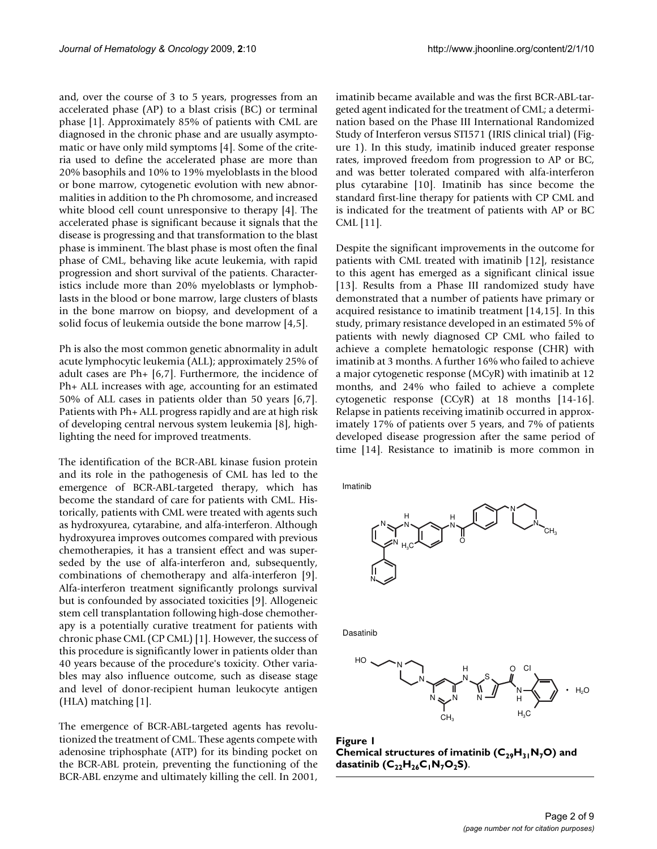and, over the course of 3 to 5 years, progresses from an accelerated phase (AP) to a blast crisis (BC) or terminal phase [1]. Approximately 85% of patients with CML are diagnosed in the chronic phase and are usually asymptomatic or have only mild symptoms [4]. Some of the criteria used to define the accelerated phase are more than 20% basophils and 10% to 19% myeloblasts in the blood or bone marrow, cytogenetic evolution with new abnormalities in addition to the Ph chromosome, and increased white blood cell count unresponsive to therapy [4]. The accelerated phase is significant because it signals that the disease is progressing and that transformation to the blast phase is imminent. The blast phase is most often the final phase of CML, behaving like acute leukemia, with rapid progression and short survival of the patients. Characteristics include more than 20% myeloblasts or lymphoblasts in the blood or bone marrow, large clusters of blasts in the bone marrow on biopsy, and development of a solid focus of leukemia outside the bone marrow [4,5].

Ph is also the most common genetic abnormality in adult acute lymphocytic leukemia (ALL); approximately 25% of adult cases are Ph+ [6,7]. Furthermore, the incidence of Ph+ ALL increases with age, accounting for an estimated 50% of ALL cases in patients older than 50 years [6,7]. Patients with Ph+ ALL progress rapidly and are at high risk of developing central nervous system leukemia [8], highlighting the need for improved treatments.

The identification of the BCR-ABL kinase fusion protein and its role in the pathogenesis of CML has led to the emergence of BCR-ABL-targeted therapy, which has become the standard of care for patients with CML. Historically, patients with CML were treated with agents such as hydroxyurea, cytarabine, and alfa-interferon. Although hydroxyurea improves outcomes compared with previous chemotherapies, it has a transient effect and was superseded by the use of alfa-interferon and, subsequently, combinations of chemotherapy and alfa-interferon [9]. Alfa-interferon treatment significantly prolongs survival but is confounded by associated toxicities [9]. Allogeneic stem cell transplantation following high-dose chemotherapy is a potentially curative treatment for patients with chronic phase CML (CP CML) [1]. However, the success of this procedure is significantly lower in patients older than 40 years because of the procedure's toxicity. Other variables may also influence outcome, such as disease stage and level of donor-recipient human leukocyte antigen (HLA) matching [1].

The emergence of BCR-ABL-targeted agents has revolutionized the treatment of CML. These agents compete with adenosine triphosphate (ATP) for its binding pocket on the BCR-ABL protein, preventing the functioning of the BCR-ABL enzyme and ultimately killing the cell. In 2001,

imatinib became available and was the first BCR-ABL-targeted agent indicated for the treatment of CML; a determination based on the Phase III International Randomized Study of Interferon versus STI571 (IRIS clinical trial) (Figure 1). In this study, imatinib induced greater response rates, improved freedom from progression to AP or BC, and was better tolerated compared with alfa-interferon plus cytarabine [10]. Imatinib has since become the standard first-line therapy for patients with CP CML and is indicated for the treatment of patients with AP or BC CML [11].

Despite the significant improvements in the outcome for patients with CML treated with imatinib [12], resistance to this agent has emerged as a significant clinical issue [13]. Results from a Phase III randomized study have demonstrated that a number of patients have primary or acquired resistance to imatinib treatment [14,15]. In this study, primary resistance developed in an estimated 5% of patients with newly diagnosed CP CML who failed to achieve a complete hematologic response (CHR) with imatinib at 3 months. A further 16% who failed to achieve a major cytogenetic response (MCyR) with imatinib at 12 months, and 24% who failed to achieve a complete cytogenetic response (CCyR) at 18 months [14-16]. Relapse in patients receiving imatinib occurred in approximately 17% of patients over 5 years, and 7% of patients developed disease progression after the same period of time [14]. Resistance to imatinib is more common in

Imatinib



Dasatinib



Chemical structures of imatinib (C (C 29H31N7O) and dasatinib 22H26C1N7O2 **Figure 1** S) **Chemical structures of imatinib (C29H31N7O) and**  dasatinib (C<sub>22</sub>H<sub>26</sub>C<sub>1</sub>N<sub>7</sub>O<sub>2</sub>S).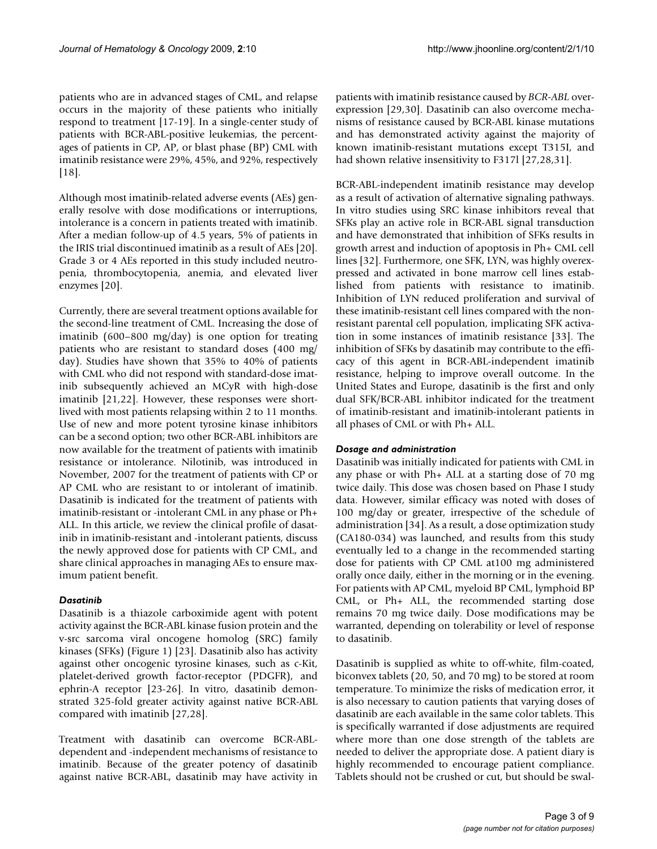patients who are in advanced stages of CML, and relapse occurs in the majority of these patients who initially respond to treatment [17-19]. In a single-center study of patients with BCR-ABL-positive leukemias, the percentages of patients in CP, AP, or blast phase (BP) CML with imatinib resistance were 29%, 45%, and 92%, respectively [18].

Although most imatinib-related adverse events (AEs) generally resolve with dose modifications or interruptions, intolerance is a concern in patients treated with imatinib. After a median follow-up of 4.5 years, 5% of patients in the IRIS trial discontinued imatinib as a result of AEs [20]. Grade 3 or 4 AEs reported in this study included neutropenia, thrombocytopenia, anemia, and elevated liver enzymes [20].

Currently, there are several treatment options available for the second-line treatment of CML. Increasing the dose of imatinib (600–800 mg/day) is one option for treating patients who are resistant to standard doses (400 mg/ day). Studies have shown that 35% to 40% of patients with CML who did not respond with standard-dose imatinib subsequently achieved an MCyR with high-dose imatinib [21,22]. However, these responses were shortlived with most patients relapsing within 2 to 11 months. Use of new and more potent tyrosine kinase inhibitors can be a second option; two other BCR-ABL inhibitors are now available for the treatment of patients with imatinib resistance or intolerance. Nilotinib, was introduced in November, 2007 for the treatment of patients with CP or AP CML who are resistant to or intolerant of imatinib. Dasatinib is indicated for the treatment of patients with imatinib-resistant or -intolerant CML in any phase or Ph+ ALL. In this article, we review the clinical profile of dasatinib in imatinib-resistant and -intolerant patients, discuss the newly approved dose for patients with CP CML, and share clinical approaches in managing AEs to ensure maximum patient benefit.

#### *Dasatinib*

Dasatinib is a thiazole carboximide agent with potent activity against the BCR-ABL kinase fusion protein and the v-src sarcoma viral oncogene homolog (SRC) family kinases (SFKs) (Figure 1) [23]. Dasatinib also has activity against other oncogenic tyrosine kinases, such as c-Kit, platelet-derived growth factor-receptor (PDGFR), and ephrin-A receptor [23-26]. In vitro, dasatinib demonstrated 325-fold greater activity against native BCR-ABL compared with imatinib [27,28].

Treatment with dasatinib can overcome BCR-ABLdependent and -independent mechanisms of resistance to imatinib. Because of the greater potency of dasatinib against native BCR-ABL, dasatinib may have activity in

patients with imatinib resistance caused by *BCR-ABL* overexpression [29,30]. Dasatinib can also overcome mechanisms of resistance caused by BCR-ABL kinase mutations and has demonstrated activity against the majority of known imatinib-resistant mutations except T315I, and had shown relative insensitivity to F317l [27,28,31].

BCR-ABL-independent imatinib resistance may develop as a result of activation of alternative signaling pathways. In vitro studies using SRC kinase inhibitors reveal that SFKs play an active role in BCR-ABL signal transduction and have demonstrated that inhibition of SFKs results in growth arrest and induction of apoptosis in Ph+ CML cell lines [32]. Furthermore, one SFK, LYN, was highly overexpressed and activated in bone marrow cell lines established from patients with resistance to imatinib. Inhibition of LYN reduced proliferation and survival of these imatinib-resistant cell lines compared with the nonresistant parental cell population, implicating SFK activation in some instances of imatinib resistance [33]. The inhibition of SFKs by dasatinib may contribute to the efficacy of this agent in BCR-ABL-independent imatinib resistance, helping to improve overall outcome. In the United States and Europe, dasatinib is the first and only dual SFK/BCR-ABL inhibitor indicated for the treatment of imatinib-resistant and imatinib-intolerant patients in all phases of CML or with Ph+ ALL.

#### *Dosage and administration*

Dasatinib was initially indicated for patients with CML in any phase or with Ph+ ALL at a starting dose of 70 mg twice daily. This dose was chosen based on Phase I study data. However, similar efficacy was noted with doses of 100 mg/day or greater, irrespective of the schedule of administration [34]. As a result, a dose optimization study (CA180-034) was launched, and results from this study eventually led to a change in the recommended starting dose for patients with CP CML at100 mg administered orally once daily, either in the morning or in the evening. For patients with AP CML, myeloid BP CML, lymphoid BP CML, or Ph+ ALL, the recommended starting dose remains 70 mg twice daily. Dose modifications may be warranted, depending on tolerability or level of response to dasatinib.

Dasatinib is supplied as white to off-white, film-coated, biconvex tablets (20, 50, and 70 mg) to be stored at room temperature. To minimize the risks of medication error, it is also necessary to caution patients that varying doses of dasatinib are each available in the same color tablets. This is specifically warranted if dose adjustments are required where more than one dose strength of the tablets are needed to deliver the appropriate dose. A patient diary is highly recommended to encourage patient compliance. Tablets should not be crushed or cut, but should be swal-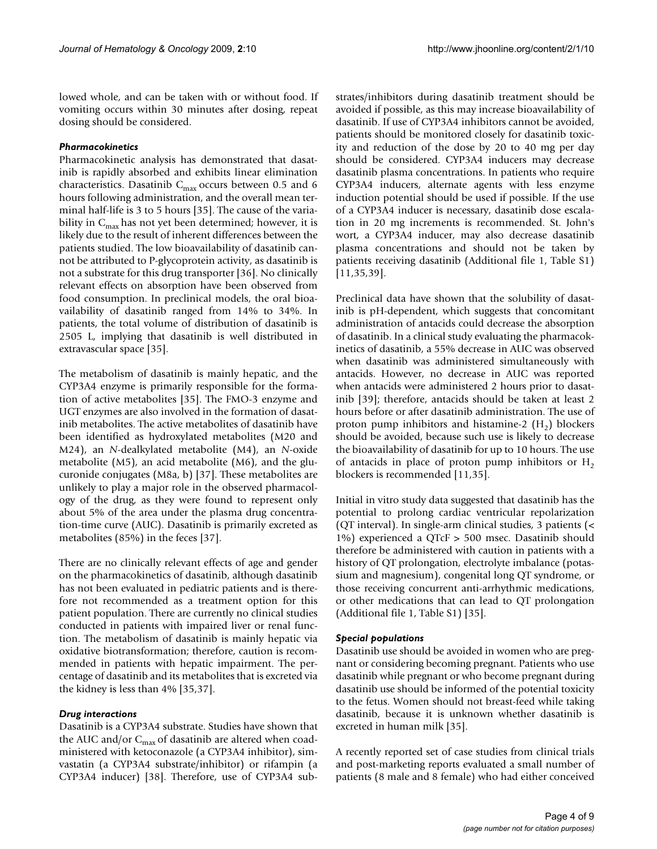lowed whole, and can be taken with or without food. If vomiting occurs within 30 minutes after dosing, repeat dosing should be considered.

#### *Pharmacokinetics*

Pharmacokinetic analysis has demonstrated that dasatinib is rapidly absorbed and exhibits linear elimination characteristics. Dasatinib  $C_{\text{max}}$  occurs between 0.5 and 6 hours following administration, and the overall mean terminal half-life is 3 to 5 hours [35]. The cause of the variability in  $C_{\text{max}}$  has not yet been determined; however, it is likely due to the result of inherent differences between the patients studied. The low bioavailability of dasatinib cannot be attributed to P-glycoprotein activity, as dasatinib is not a substrate for this drug transporter [36]. No clinically relevant effects on absorption have been observed from food consumption. In preclinical models, the oral bioavailability of dasatinib ranged from 14% to 34%. In patients, the total volume of distribution of dasatinib is 2505 L, implying that dasatinib is well distributed in extravascular space [35].

The metabolism of dasatinib is mainly hepatic, and the CYP3A4 enzyme is primarily responsible for the formation of active metabolites [35]. The FMO-3 enzyme and UGT enzymes are also involved in the formation of dasatinib metabolites. The active metabolites of dasatinib have been identified as hydroxylated metabolites (M20 and M24), an *N*-dealkylated metabolite (M4), an *N*-oxide metabolite (M5), an acid metabolite (M6), and the glucuronide conjugates (M8a, b) [37]. These metabolites are unlikely to play a major role in the observed pharmacology of the drug, as they were found to represent only about 5% of the area under the plasma drug concentration-time curve (AUC). Dasatinib is primarily excreted as metabolites (85%) in the feces [37].

There are no clinically relevant effects of age and gender on the pharmacokinetics of dasatinib, although dasatinib has not been evaluated in pediatric patients and is therefore not recommended as a treatment option for this patient population. There are currently no clinical studies conducted in patients with impaired liver or renal function. The metabolism of dasatinib is mainly hepatic via oxidative biotransformation; therefore, caution is recommended in patients with hepatic impairment. The percentage of dasatinib and its metabolites that is excreted via the kidney is less than 4% [35,37].

#### *Drug interactions*

Dasatinib is a CYP3A4 substrate. Studies have shown that the AUC and/or  $C_{\text{max}}$  of dasatinib are altered when coadministered with ketoconazole (a CYP3A4 inhibitor), simvastatin (a CYP3A4 substrate/inhibitor) or rifampin (a CYP3A4 inducer) [38]. Therefore, use of CYP3A4 substrates/inhibitors during dasatinib treatment should be avoided if possible, as this may increase bioavailability of dasatinib. If use of CYP3A4 inhibitors cannot be avoided, patients should be monitored closely for dasatinib toxicity and reduction of the dose by 20 to 40 mg per day should be considered. CYP3A4 inducers may decrease dasatinib plasma concentrations. In patients who require CYP3A4 inducers, alternate agents with less enzyme induction potential should be used if possible. If the use of a CYP3A4 inducer is necessary, dasatinib dose escalation in 20 mg increments is recommended. St. John's wort, a CYP3A4 inducer, may also decrease dasatinib plasma concentrations and should not be taken by patients receiving dasatinib (Additional file 1, Table S1) [11,35,39].

Preclinical data have shown that the solubility of dasatinib is pH-dependent, which suggests that concomitant administration of antacids could decrease the absorption of dasatinib. In a clinical study evaluating the pharmacokinetics of dasatinib, a 55% decrease in AUC was observed when dasatinib was administered simultaneously with antacids. However, no decrease in AUC was reported when antacids were administered 2 hours prior to dasatinib [39]; therefore, antacids should be taken at least 2 hours before or after dasatinib administration. The use of proton pump inhibitors and histamine-2  $(H<sub>2</sub>)$  blockers should be avoided, because such use is likely to decrease the bioavailability of dasatinib for up to 10 hours. The use of antacids in place of proton pump inhibitors or  $H<sub>2</sub>$ blockers is recommended [11,35].

Initial in vitro study data suggested that dasatinib has the potential to prolong cardiac ventricular repolarization (QT interval). In single-arm clinical studies, 3 patients (< 1%) experienced a QTcF > 500 msec. Dasatinib should therefore be administered with caution in patients with a history of QT prolongation, electrolyte imbalance (potassium and magnesium), congenital long QT syndrome, or those receiving concurrent anti-arrhythmic medications, or other medications that can lead to QT prolongation (Additional file 1, Table S1) [35].

#### *Special populations*

Dasatinib use should be avoided in women who are pregnant or considering becoming pregnant. Patients who use dasatinib while pregnant or who become pregnant during dasatinib use should be informed of the potential toxicity to the fetus. Women should not breast-feed while taking dasatinib, because it is unknown whether dasatinib is excreted in human milk [35].

A recently reported set of case studies from clinical trials and post-marketing reports evaluated a small number of patients (8 male and 8 female) who had either conceived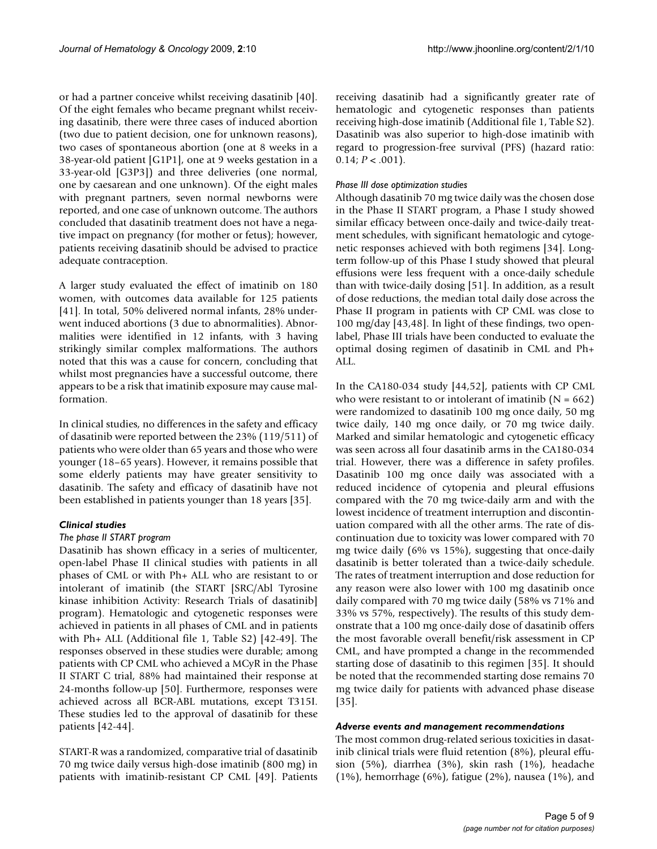or had a partner conceive whilst receiving dasatinib [40]. Of the eight females who became pregnant whilst receiving dasatinib, there were three cases of induced abortion (two due to patient decision, one for unknown reasons), two cases of spontaneous abortion (one at 8 weeks in a 38-year-old patient [G1P1], one at 9 weeks gestation in a 33-year-old [G3P3]) and three deliveries (one normal, one by caesarean and one unknown). Of the eight males with pregnant partners, seven normal newborns were reported, and one case of unknown outcome. The authors concluded that dasatinib treatment does not have a negative impact on pregnancy (for mother or fetus); however, patients receiving dasatinib should be advised to practice adequate contraception.

A larger study evaluated the effect of imatinib on 180 women, with outcomes data available for 125 patients [41]. In total, 50% delivered normal infants, 28% underwent induced abortions (3 due to abnormalities). Abnormalities were identified in 12 infants, with 3 having strikingly similar complex malformations. The authors noted that this was a cause for concern, concluding that whilst most pregnancies have a successful outcome, there appears to be a risk that imatinib exposure may cause malformation.

In clinical studies, no differences in the safety and efficacy of dasatinib were reported between the 23% (119/511) of patients who were older than 65 years and those who were younger (18–65 years). However, it remains possible that some elderly patients may have greater sensitivity to dasatinib. The safety and efficacy of dasatinib have not been established in patients younger than 18 years [35].

#### *Clinical studies*

#### *The phase II START program*

Dasatinib has shown efficacy in a series of multicenter, open-label Phase II clinical studies with patients in all phases of CML or with Ph+ ALL who are resistant to or intolerant of imatinib (the START [SRC/Abl Tyrosine kinase inhibition Activity: Research Trials of dasatinib] program). Hematologic and cytogenetic responses were achieved in patients in all phases of CML and in patients with Ph+ ALL (Additional file 1, Table S2) [42-49]. The responses observed in these studies were durable; among patients with CP CML who achieved a MCyR in the Phase II START C trial, 88% had maintained their response at 24-months follow-up [50]. Furthermore, responses were achieved across all BCR-ABL mutations, except T315I. These studies led to the approval of dasatinib for these patients [42-44].

START-R was a randomized, comparative trial of dasatinib 70 mg twice daily versus high-dose imatinib (800 mg) in patients with imatinib-resistant CP CML [49]. Patients receiving dasatinib had a significantly greater rate of hematologic and cytogenetic responses than patients receiving high-dose imatinib (Additional file 1, Table S2). Dasatinib was also superior to high-dose imatinib with regard to progression-free survival (PFS) (hazard ratio:  $0.14; P < .001$ ).

#### *Phase III dose optimization studies*

Although dasatinib 70 mg twice daily was the chosen dose in the Phase II START program, a Phase I study showed similar efficacy between once-daily and twice-daily treatment schedules, with significant hematologic and cytogenetic responses achieved with both regimens [34]. Longterm follow-up of this Phase I study showed that pleural effusions were less frequent with a once-daily schedule than with twice-daily dosing [51]. In addition, as a result of dose reductions, the median total daily dose across the Phase II program in patients with CP CML was close to 100 mg/day [43,48]. In light of these findings, two openlabel, Phase III trials have been conducted to evaluate the optimal dosing regimen of dasatinib in CML and Ph+ ALL.

In the CA180-034 study [44,52], patients with CP CML who were resistant to or intolerant of imatinib  $(N = 662)$ were randomized to dasatinib 100 mg once daily, 50 mg twice daily, 140 mg once daily, or 70 mg twice daily. Marked and similar hematologic and cytogenetic efficacy was seen across all four dasatinib arms in the CA180-034 trial. However, there was a difference in safety profiles. Dasatinib 100 mg once daily was associated with a reduced incidence of cytopenia and pleural effusions compared with the 70 mg twice-daily arm and with the lowest incidence of treatment interruption and discontinuation compared with all the other arms. The rate of discontinuation due to toxicity was lower compared with 70 mg twice daily (6% vs 15%), suggesting that once-daily dasatinib is better tolerated than a twice-daily schedule. The rates of treatment interruption and dose reduction for any reason were also lower with 100 mg dasatinib once daily compared with 70 mg twice daily (58% vs 71% and 33% vs 57%, respectively). The results of this study demonstrate that a 100 mg once-daily dose of dasatinib offers the most favorable overall benefit/risk assessment in CP CML, and have prompted a change in the recommended starting dose of dasatinib to this regimen [35]. It should be noted that the recommended starting dose remains 70 mg twice daily for patients with advanced phase disease [35].

#### *Adverse events and management recommendations*

The most common drug-related serious toxicities in dasatinib clinical trials were fluid retention (8%), pleural effusion (5%), diarrhea (3%), skin rash (1%), headache (1%), hemorrhage (6%), fatigue (2%), nausea (1%), and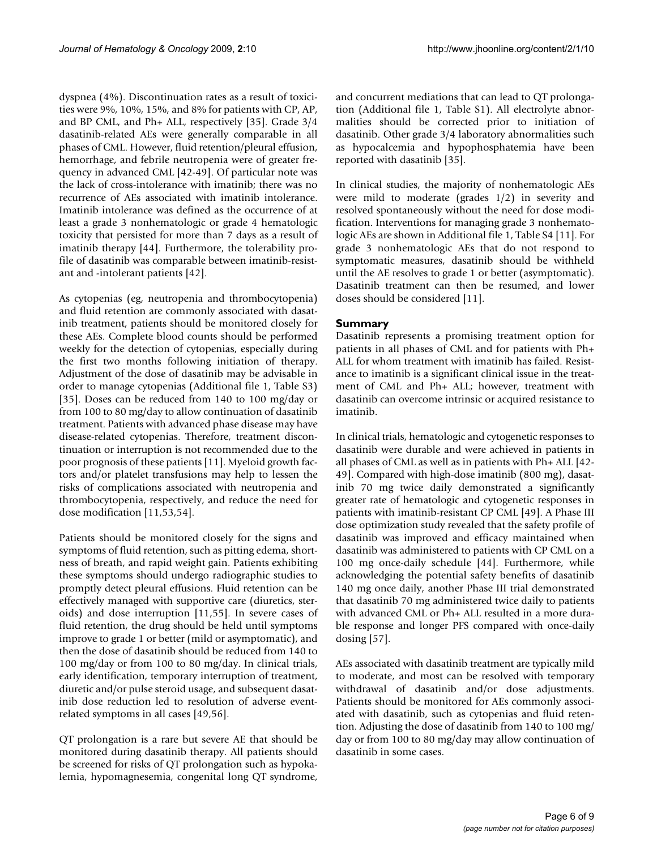dyspnea (4%). Discontinuation rates as a result of toxicities were 9%, 10%, 15%, and 8% for patients with CP, AP, and BP CML, and Ph+ ALL, respectively [35]. Grade 3/4 dasatinib-related AEs were generally comparable in all phases of CML. However, fluid retention/pleural effusion, hemorrhage, and febrile neutropenia were of greater frequency in advanced CML [42-49]. Of particular note was the lack of cross-intolerance with imatinib; there was no recurrence of AEs associated with imatinib intolerance. Imatinib intolerance was defined as the occurrence of at least a grade 3 nonhematologic or grade 4 hematologic toxicity that persisted for more than 7 days as a result of imatinib therapy [44]. Furthermore, the tolerability profile of dasatinib was comparable between imatinib-resistant and -intolerant patients [42].

As cytopenias (eg, neutropenia and thrombocytopenia) and fluid retention are commonly associated with dasatinib treatment, patients should be monitored closely for these AEs. Complete blood counts should be performed weekly for the detection of cytopenias, especially during the first two months following initiation of therapy. Adjustment of the dose of dasatinib may be advisable in order to manage cytopenias (Additional file 1, Table S3) [35]. Doses can be reduced from 140 to 100 mg/day or from 100 to 80 mg/day to allow continuation of dasatinib treatment. Patients with advanced phase disease may have disease-related cytopenias. Therefore, treatment discontinuation or interruption is not recommended due to the poor prognosis of these patients [11]. Myeloid growth factors and/or platelet transfusions may help to lessen the risks of complications associated with neutropenia and thrombocytopenia, respectively, and reduce the need for dose modification [11,53,54].

Patients should be monitored closely for the signs and symptoms of fluid retention, such as pitting edema, shortness of breath, and rapid weight gain. Patients exhibiting these symptoms should undergo radiographic studies to promptly detect pleural effusions. Fluid retention can be effectively managed with supportive care (diuretics, steroids) and dose interruption [11,55]. In severe cases of fluid retention, the drug should be held until symptoms improve to grade 1 or better (mild or asymptomatic), and then the dose of dasatinib should be reduced from 140 to 100 mg/day or from 100 to 80 mg/day. In clinical trials, early identification, temporary interruption of treatment, diuretic and/or pulse steroid usage, and subsequent dasatinib dose reduction led to resolution of adverse eventrelated symptoms in all cases [49,56].

QT prolongation is a rare but severe AE that should be monitored during dasatinib therapy. All patients should be screened for risks of QT prolongation such as hypokalemia, hypomagnesemia, congenital long QT syndrome,

and concurrent mediations that can lead to QT prolongation (Additional file 1, Table S1). All electrolyte abnormalities should be corrected prior to initiation of dasatinib. Other grade 3/4 laboratory abnormalities such as hypocalcemia and hypophosphatemia have been reported with dasatinib [35].

In clinical studies, the majority of nonhematologic AEs were mild to moderate (grades 1/2) in severity and resolved spontaneously without the need for dose modification. Interventions for managing grade 3 nonhematologic AEs are shown in Additional file 1, Table S4 [11]. For grade 3 nonhematologic AEs that do not respond to symptomatic measures, dasatinib should be withheld until the AE resolves to grade 1 or better (asymptomatic). Dasatinib treatment can then be resumed, and lower doses should be considered [11].

#### **Summary**

Dasatinib represents a promising treatment option for patients in all phases of CML and for patients with Ph+ ALL for whom treatment with imatinib has failed. Resistance to imatinib is a significant clinical issue in the treatment of CML and Ph+ ALL; however, treatment with dasatinib can overcome intrinsic or acquired resistance to imatinib.

In clinical trials, hematologic and cytogenetic responses to dasatinib were durable and were achieved in patients in all phases of CML as well as in patients with Ph+ ALL [42- 49]. Compared with high-dose imatinib (800 mg), dasatinib 70 mg twice daily demonstrated a significantly greater rate of hematologic and cytogenetic responses in patients with imatinib-resistant CP CML [49]. A Phase III dose optimization study revealed that the safety profile of dasatinib was improved and efficacy maintained when dasatinib was administered to patients with CP CML on a 100 mg once-daily schedule [44]. Furthermore, while acknowledging the potential safety benefits of dasatinib 140 mg once daily, another Phase III trial demonstrated that dasatinib 70 mg administered twice daily to patients with advanced CML or Ph+ ALL resulted in a more durable response and longer PFS compared with once-daily dosing [57].

AEs associated with dasatinib treatment are typically mild to moderate, and most can be resolved with temporary withdrawal of dasatinib and/or dose adjustments. Patients should be monitored for AEs commonly associated with dasatinib, such as cytopenias and fluid retention. Adjusting the dose of dasatinib from 140 to 100 mg/ day or from 100 to 80 mg/day may allow continuation of dasatinib in some cases.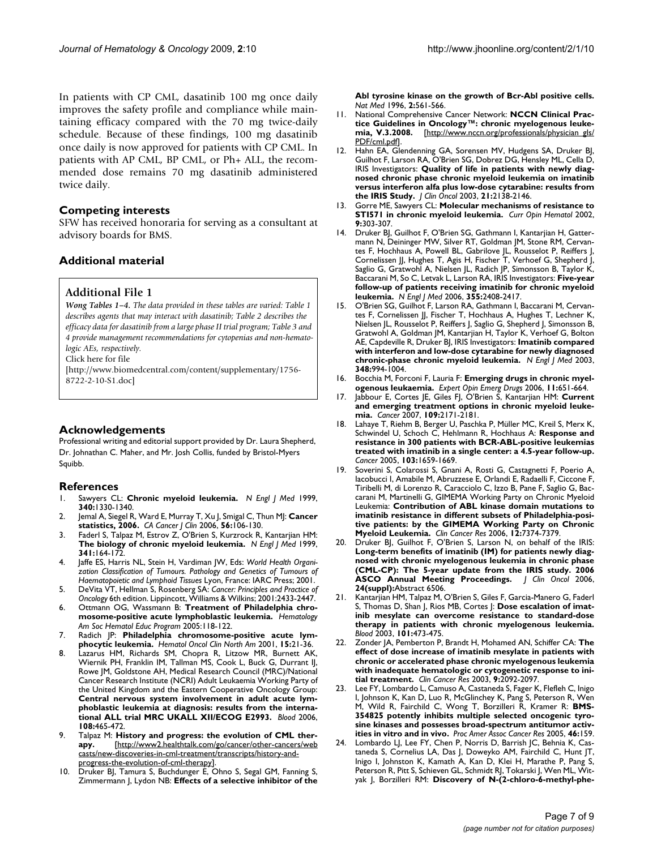In patients with CP CML, dasatinib 100 mg once daily improves the safety profile and compliance while maintaining efficacy compared with the 70 mg twice-daily schedule. Because of these findings, 100 mg dasatinib once daily is now approved for patients with CP CML. In patients with AP CML, BP CML, or Ph+ ALL, the recommended dose remains 70 mg dasatinib administered twice daily.

#### **Competing interests**

SFW has received honoraria for serving as a consultant at advisory boards for BMS.

#### **Additional material**

#### **Additional File 1**

*Wong Tables 1–4. The data provided in these tables are varied: Table 1 describes agents that may interact with dasatinib; Table 2 describes the efficacy data for dasatinib from a large phase II trial program; Table 3 and 4 provide management recommendations for cytopenias and non-hematologic AEs, respectively.*

Click here for file

[\[http://www.biomedcentral.com/content/supplementary/1756-](http://www.biomedcentral.com/content/supplementary/1756-8722-2-10-S1.doc) 8722-2-10-S1.doc]

#### **Acknowledgements**

Professional writing and editorial support provided by Dr. Laura Shepherd, Dr. Johnathan C. Maher, and Mr. Josh Collis, funded by Bristol-Myers Squibb.

#### **References**

- 1. Sawyers CL: **[Chronic myeloid leukemia.](http://www.ncbi.nlm.nih.gov/entrez/query.fcgi?cmd=Retrieve&db=PubMed&dopt=Abstract&list_uids=10219069)** *N Engl J Med* 1999, **340:**1330-1340.
- 2. Jemal A, Siegel R, Ward E, Murray T, Xu J, Smigal C, Thun MJ: **[Cancer](http://www.ncbi.nlm.nih.gov/entrez/query.fcgi?cmd=Retrieve&db=PubMed&dopt=Abstract&list_uids=16514137) [statistics, 2006.](http://www.ncbi.nlm.nih.gov/entrez/query.fcgi?cmd=Retrieve&db=PubMed&dopt=Abstract&list_uids=16514137)** *CA Cancer J Clin* 2006, **56:**106-130.
- 3. Faderl S, Talpaz M, Estrov Z, O'Brien S, Kurzrock R, Kantarjian HM: **[The biology of chronic myeloid leukemia.](http://www.ncbi.nlm.nih.gov/entrez/query.fcgi?cmd=Retrieve&db=PubMed&dopt=Abstract&list_uids=10403855)** *N Engl J Med* 1999, **341:**164-172.
- 4. Jaffe ES, Harris NL, Stein H, Vardiman JW, Eds: *World Health Organization Classification of Tumours. Pathology and Genetics of Tumours of Haematopoietic and Lymphoid Tissues* Lyon, France: IARC Press; 2001.
- 5. DeVita VT, Hellman S, Rosenberg SA: *Cancer: Principles and Practice of Oncology* 6th edition. Lippincott, Williams & Wilkins; 2001:2433-2447.
- 6. Ottmann OG, Wassmann B: **[Treatment of Philadelphia chro](http://www.ncbi.nlm.nih.gov/entrez/query.fcgi?cmd=Retrieve&db=PubMed&dopt=Abstract&list_uids=16304368)[mosome-positive acute lymphoblastic leukemia.](http://www.ncbi.nlm.nih.gov/entrez/query.fcgi?cmd=Retrieve&db=PubMed&dopt=Abstract&list_uids=16304368)** *Hematology Am Soc Hematol Educ Program* 2005:118-122.
- 7. Radich JP: **[Philadelphia chromosome-positive acute lym](http://www.ncbi.nlm.nih.gov/entrez/query.fcgi?cmd=Retrieve&db=PubMed&dopt=Abstract&list_uids=11258387)[phocytic leukemia.](http://www.ncbi.nlm.nih.gov/entrez/query.fcgi?cmd=Retrieve&db=PubMed&dopt=Abstract&list_uids=11258387)** *Hematol Oncol Clin North Am* 2001, **15:**21-36.
- Lazarus HM, Richards SM, Chopra R, Litzow MR, Burnett AK, Wiernik PH, Franklin IM, Tallman MS, Cook L, Buck G, Durrant IJ, Rowe JM, Goldstone AH, Medical Research Council (MRC)/National Cancer Research Institute (NCRI) Adult Leukaemia Working Party of the United Kingdom and the Eastern Cooperative Oncology Group: **[Central nervous system involvement in adult acute lym](http://www.ncbi.nlm.nih.gov/entrez/query.fcgi?cmd=Retrieve&db=PubMed&dopt=Abstract&list_uids=16556888)phoblastic leukemia at diagnosis: results from the interna[tional ALL trial MRC UKALL XII/ECOG E2993.](http://www.ncbi.nlm.nih.gov/entrez/query.fcgi?cmd=Retrieve&db=PubMed&dopt=Abstract&list_uids=16556888)** *Blood* 2006, **108:**465-472.
- Talpaz M: History and progress: the evolution of CML ther**apy.** [\[http://www2.healthtalk.com/go/cancer/other-cancers/web](http://www2.healthtalk.com/go/cancer/other-cancers/webcasts/new-discoveries-in-cml-treatment/transcripts/history-and-progress-the-evolution-of-cml-therapy) [casts/new-discoveries-in-cml-treatment/transcripts/history-and](http://www2.healthtalk.com/go/cancer/other-cancers/webcasts/new-discoveries-in-cml-treatment/transcripts/history-and-progress-the-evolution-of-cml-therapy)[progress-the-evolution-of-cml-therapy](http://www2.healthtalk.com/go/cancer/other-cancers/webcasts/new-discoveries-in-cml-treatment/transcripts/history-and-progress-the-evolution-of-cml-therapy)].
- 10. Druker BJ, Tamura S, Buchdunger E, Ohno S, Segal GM, Fanning S, Zimmermann J, Lydon NB: **[Effects of a selective inhibitor of the](http://www.ncbi.nlm.nih.gov/entrez/query.fcgi?cmd=Retrieve&db=PubMed&dopt=Abstract&list_uids=8616716)**

**[Abl tyrosine kinase on the growth of Bcr-Abl positive cells.](http://www.ncbi.nlm.nih.gov/entrez/query.fcgi?cmd=Retrieve&db=PubMed&dopt=Abstract&list_uids=8616716)** *Nat Med* 1996, **2:**561-566.

- 11. National Comprehensive Cancer Network: **NCCN Clinical Practice Guidelines in Oncology™: chronic myelogenous leukemia, V.3.2008.** [[http://www.nccn.org/professionals/physician\\_gls/](http://www.nccn.org/professionals/physician_gls/PDF/cml.pdf) [PDF/cml.pdf](http://www.nccn.org/professionals/physician_gls/PDF/cml.pdf)].
- 12. Hahn EA, Glendenning GA, Sorensen MV, Hudgens SA, Druker BJ, Guilhot F, Larson RA, O'Brien SG, Dobrez DG, Hensley ML, Cella D, IRIS Investigators: **[Quality of life in patients with newly diag](http://www.ncbi.nlm.nih.gov/entrez/query.fcgi?cmd=Retrieve&db=PubMed&dopt=Abstract&list_uids=12775739)[nosed chronic phase chronic myeloid leukemia on imatinib](http://www.ncbi.nlm.nih.gov/entrez/query.fcgi?cmd=Retrieve&db=PubMed&dopt=Abstract&list_uids=12775739) versus interferon alfa plus low-dose cytarabine: results from [the IRIS Study.](http://www.ncbi.nlm.nih.gov/entrez/query.fcgi?cmd=Retrieve&db=PubMed&dopt=Abstract&list_uids=12775739)** *J Clin Oncol* 2003, **21:**2138-2146.
- 13. Gorre ME, Sawyers CL: **[Molecular mechanisms of resistance to](http://www.ncbi.nlm.nih.gov/entrez/query.fcgi?cmd=Retrieve&db=PubMed&dopt=Abstract&list_uids=12042704) [STI571 in chronic myeloid leukemia.](http://www.ncbi.nlm.nih.gov/entrez/query.fcgi?cmd=Retrieve&db=PubMed&dopt=Abstract&list_uids=12042704)** *Curr Opin Hematol* 2002, **9:**303-307.
- 14. Druker BJ, Guilhot F, O'Brien SG, Gathmann I, Kantarjian H, Gattermann N, Deininger MW, Silver RT, Goldman JM, Stone RM, Cervantes F, Hochhaus A, Powell BL, Gabrilove JL, Rousselot P, Reiffers J, Cornelissen JJ, Hughes T, Agis H, Fischer T, Verhoef G, Shepherd J, Saglio G, Gratwohl A, Nielsen JL, Radich JP, Simonsson B, Taylor K, Baccarani M, So C, Letvak L, Larson RA, IRIS Investigators: **[Five-year](http://www.ncbi.nlm.nih.gov/entrez/query.fcgi?cmd=Retrieve&db=PubMed&dopt=Abstract&list_uids=17151364) [follow-up of patients receiving imatinib for chronic myeloid](http://www.ncbi.nlm.nih.gov/entrez/query.fcgi?cmd=Retrieve&db=PubMed&dopt=Abstract&list_uids=17151364) [leukemia.](http://www.ncbi.nlm.nih.gov/entrez/query.fcgi?cmd=Retrieve&db=PubMed&dopt=Abstract&list_uids=17151364)** *N Engl J Med* 2006, **355:**2408-2417.
- 15. O'Brien SG, Guilhot F, Larson RA, Gathmann I, Baccarani M, Cervantes F, Cornelissen JJ, Fischer T, Hochhaus A, Hughes T, Lechner K, Nielsen JL, Rousselot P, Reiffers J, Saglio G, Shepherd J, Simonsson B, Gratwohl A, Goldman JM, Kantarjian H, Taylor K, Verhoef G, Bolton AE, Capdeville R, Druker BJ, IRIS Investigators: **[Imatinib compared](http://www.ncbi.nlm.nih.gov/entrez/query.fcgi?cmd=Retrieve&db=PubMed&dopt=Abstract&list_uids=12637609) [with interferon and low-dose cytarabine for newly diagnosed](http://www.ncbi.nlm.nih.gov/entrez/query.fcgi?cmd=Retrieve&db=PubMed&dopt=Abstract&list_uids=12637609) [chronic-phase chronic myeloid leukemia.](http://www.ncbi.nlm.nih.gov/entrez/query.fcgi?cmd=Retrieve&db=PubMed&dopt=Abstract&list_uids=12637609)** *N Engl J Med* 2003, **348:**994-1004.
- 16. Bocchia M, Forconi F, Lauria F: **[Emerging drugs in chronic myel](http://www.ncbi.nlm.nih.gov/entrez/query.fcgi?cmd=Retrieve&db=PubMed&dopt=Abstract&list_uids=17064224)[ogenous leukaemia.](http://www.ncbi.nlm.nih.gov/entrez/query.fcgi?cmd=Retrieve&db=PubMed&dopt=Abstract&list_uids=17064224)** *Expert Opin Emerg Drugs* 2006, **11:**651-664.
- 17. Jabbour E, Cortes JE, Giles FJ, O'Brien S, Kantarjian HM: **[Current](http://www.ncbi.nlm.nih.gov/entrez/query.fcgi?cmd=Retrieve&db=PubMed&dopt=Abstract&list_uids=17431887) [and emerging treatment options in chronic myeloid leuke](http://www.ncbi.nlm.nih.gov/entrez/query.fcgi?cmd=Retrieve&db=PubMed&dopt=Abstract&list_uids=17431887)[mia.](http://www.ncbi.nlm.nih.gov/entrez/query.fcgi?cmd=Retrieve&db=PubMed&dopt=Abstract&list_uids=17431887)** *Cancer* 2007, **109:**2171-2181.
- 18. Lahaye T, Riehm B, Berger U, Paschka P, Müller MC, Kreil S, Merx K, Schwindel U, Schoch C, Hehlmann R, Hochhaus A: **[Response and](http://www.ncbi.nlm.nih.gov/entrez/query.fcgi?cmd=Retrieve&db=PubMed&dopt=Abstract&list_uids=15747376) [resistance in 300 patients with BCR-ABL-positive leukemias](http://www.ncbi.nlm.nih.gov/entrez/query.fcgi?cmd=Retrieve&db=PubMed&dopt=Abstract&list_uids=15747376) treated with imatinib in a single center: a 4.5-year follow-up.** *Cancer* 2005, **103:**1659-1669.
- 19. Soverini S, Colarossi S, Gnani A, Rosti G, Castagnetti F, Poerio A, Iacobucci I, Amabile M, Abruzzese E, Orlandi E, Radaelli F, Ciccone F, Tiribelli M, di Lorenzo R, Caracciolo C, Izzo B, Pane F, Saglio G, Baccarani M, Martinelli G, GIMEMA Working Party on Chronic Myeloid Leukemia: **[Contribution of ABL kinase domain mutations to](http://www.ncbi.nlm.nih.gov/entrez/query.fcgi?cmd=Retrieve&db=PubMed&dopt=Abstract&list_uids=17189410) imatinib resistance in different subsets of Philadelphia-posi[tive patients: by the GIMEMA Working Party on Chronic](http://www.ncbi.nlm.nih.gov/entrez/query.fcgi?cmd=Retrieve&db=PubMed&dopt=Abstract&list_uids=17189410) [Myeloid Leukemia.](http://www.ncbi.nlm.nih.gov/entrez/query.fcgi?cmd=Retrieve&db=PubMed&dopt=Abstract&list_uids=17189410)** *Clin Cancer Res* 2006, **12:**7374-7379.
- 20. Druker BJ, Guilhot F, O'Brien S, Larson N, on behalf of the IRIS: **Long-term benefits of imatinib (IM) for patients newly diagnosed with chronic myelogenous leukemia in chronic phase (CML-CP): The 5-year update from the IRIS study. 2006 ASCO Annual Meeting Proceedings.** *J Clin Oncol* 2006, **24(suppl):**Abstract 6506.
- 21. Kantarjian HM, Talpaz M, O'Brien S, Giles F, Garcia-Manero G, Faderl S, Thomas D, Shan J, Rios MB, Cortes J: **[Dose escalation of imat](http://www.ncbi.nlm.nih.gov/entrez/query.fcgi?cmd=Retrieve&db=PubMed&dopt=Abstract&list_uids=12393385)[inib mesylate can overcome resistance to standard-dose](http://www.ncbi.nlm.nih.gov/entrez/query.fcgi?cmd=Retrieve&db=PubMed&dopt=Abstract&list_uids=12393385) therapy in patients with chronic myelogenous leukemia.** *Blood* 2003, **101:**473-475.
- 22. Zonder JA, Pemberton P, Brandt H, Mohamed AN, Schiffer CA: **[The](http://www.ncbi.nlm.nih.gov/entrez/query.fcgi?cmd=Retrieve&db=PubMed&dopt=Abstract&list_uids=12796373) [effect of dose increase of imatinib mesylate in patients with](http://www.ncbi.nlm.nih.gov/entrez/query.fcgi?cmd=Retrieve&db=PubMed&dopt=Abstract&list_uids=12796373) chronic or accelerated phase chronic myelogenous leukemia with inadequate hematologic or cytogenetic response to ini[tial treatment.](http://www.ncbi.nlm.nih.gov/entrez/query.fcgi?cmd=Retrieve&db=PubMed&dopt=Abstract&list_uids=12796373)** *Clin Cancer Res* 2003, **9:**2092-2097.
- 23. Lee FY, Lombardo L, Camuso A, Castaneda S, Fager K, Flefleh C, Inigo I, Johnson K, Kan D, Luo R, McGlinchey K, Pang S, Peterson R, Wen M, Wild R, Fairchild C, Wong T, Borzilleri R, Kramer R: **BMS-354825 potently inhibits multiple selected oncogenic tyrosine kinases and possesses broad-spectrum antitumor activities in vitro and in vivo.** *Proc Amer Assoc Cancer Res* 2005, **46:**159.
- 24. Lombardo LJ, Lee FY, Chen P, Norris D, Barrish JC, Behnia K, Castaneda S, Cornelius LA, Das J, Doweyko AM, Fairchild C, Hunt JT, Inigo I, Johnston K, Kamath A, Kan D, Klei H, Marathe P, Pang S, Peterson R, Pitt S, Schieven GL, Schmidt RJ, Tokarski J, Wen ML, Wityak J, Borzilleri RM: **[Discovery of N-\(2-chloro-6-methyl-phe](http://www.ncbi.nlm.nih.gov/entrez/query.fcgi?cmd=Retrieve&db=PubMed&dopt=Abstract&list_uids=15615512)-**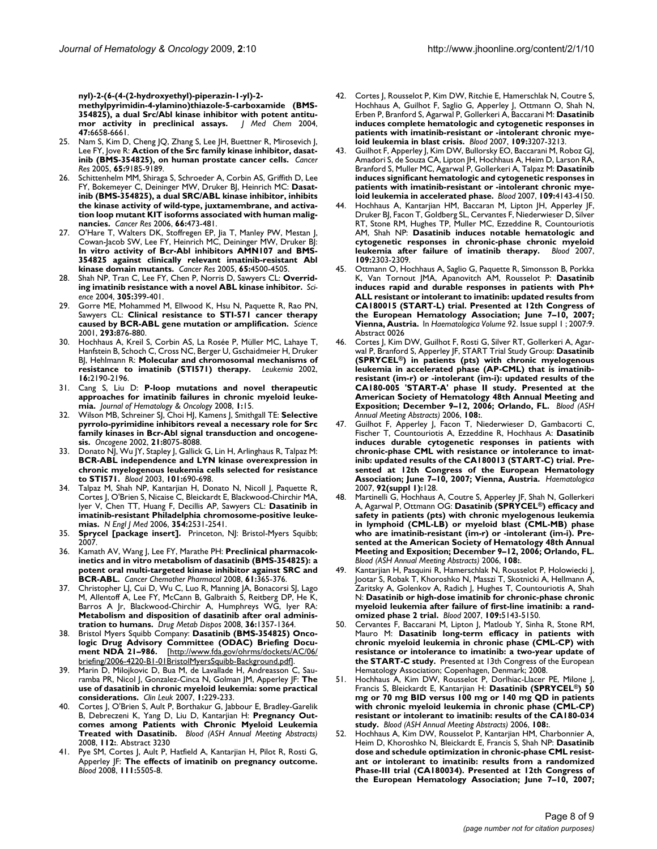**nyl)-2-(6-(4-(2-hydroxyethyl)-piperazin-1-yl)-2-**

**[methylpyrimidin-4-ylamino\)thiazole-5-carboxamide \(BMS-](http://www.ncbi.nlm.nih.gov/entrez/query.fcgi?cmd=Retrieve&db=PubMed&dopt=Abstract&list_uids=15615512)354825), a dual Src/Abl kinase inhibitor with potent antitu[mor activity in preclinical assays.](http://www.ncbi.nlm.nih.gov/entrez/query.fcgi?cmd=Retrieve&db=PubMed&dopt=Abstract&list_uids=15615512)** *J Med Chem* 2004, **47:**6658-6661.

- 25. Nam S, Kim D, Cheng JQ, Zhang S, Lee JH, Buettner R, Mirosevich J, Lee FY, Jove R: **[Action of the Src family kinase inhibitor, dasat](http://www.ncbi.nlm.nih.gov/entrez/query.fcgi?cmd=Retrieve&db=PubMed&dopt=Abstract&list_uids=16230377)[inib \(BMS-354825\), on human prostate cancer cells.](http://www.ncbi.nlm.nih.gov/entrez/query.fcgi?cmd=Retrieve&db=PubMed&dopt=Abstract&list_uids=16230377)** *Cancer Res* 2005, **65:**9185-9189.
- 26. Schittenhelm MM, Shiraga S, Schroeder A, Corbin AS, Griffith D, Lee FY, Bokemeyer C, Deininger MW, Druker BJ, Heinrich MC: **[Dasat](http://www.ncbi.nlm.nih.gov/entrez/query.fcgi?cmd=Retrieve&db=PubMed&dopt=Abstract&list_uids=16397263)[inib \(BMS-354825\), a dual SRC/ABL kinase inhibitor, inhibits](http://www.ncbi.nlm.nih.gov/entrez/query.fcgi?cmd=Retrieve&db=PubMed&dopt=Abstract&list_uids=16397263) the kinase activity of wild-type, juxtamembrane, and activation loop mutant KIT isoforms associated with human malig[nancies.](http://www.ncbi.nlm.nih.gov/entrez/query.fcgi?cmd=Retrieve&db=PubMed&dopt=Abstract&list_uids=16397263)** *Cancer Res* 2006, **66:**473-481.
- 27. O'Hare T, Walters DK, Stoffregen EP, Jia T, Manley PW, Mestan J, Cowan-Jacob SW, Lee FY, Heinrich MC, Deininger MW, Druker BJ: **[In vitro activity of Bcr-Abl inhibitors AMN107 and BMS-](http://www.ncbi.nlm.nih.gov/entrez/query.fcgi?cmd=Retrieve&db=PubMed&dopt=Abstract&list_uids=15930265)354825 against clinically relevant imatinib-resistant Abl [kinase domain mutants.](http://www.ncbi.nlm.nih.gov/entrez/query.fcgi?cmd=Retrieve&db=PubMed&dopt=Abstract&list_uids=15930265)** *Cancer Res* 2005, **65:**4500-4505.
- 28. Shah NP, Tran C, Lee FY, Chen P, Norris D, Sawyers CL: **[Overrid](http://www.ncbi.nlm.nih.gov/entrez/query.fcgi?cmd=Retrieve&db=PubMed&dopt=Abstract&list_uids=15256671)[ing imatinib resistance with a novel ABL kinase inhibitor.](http://www.ncbi.nlm.nih.gov/entrez/query.fcgi?cmd=Retrieve&db=PubMed&dopt=Abstract&list_uids=15256671)** *Science* 2004, **305:**399-401.
- 29. Gorre ME, Mohammed M, Ellwood K, Hsu N, Paquette R, Rao PN, Sawyers CL: **[Clinical resistance to STI-571 cancer therapy](http://www.ncbi.nlm.nih.gov/entrez/query.fcgi?cmd=Retrieve&db=PubMed&dopt=Abstract&list_uids=11423618) [caused by BCR-ABL gene mutation or amplification.](http://www.ncbi.nlm.nih.gov/entrez/query.fcgi?cmd=Retrieve&db=PubMed&dopt=Abstract&list_uids=11423618)** *Science* 2001, **293:**876-880.
- 30. Hochhaus A, Kreil S, Corbin AS, La Rosée P, Müller MC, Lahaye T, Hanfstein B, Schoch C, Cross NC, Berger U, Gschaidmeier H, Druker BJ, Hehlmann R: **[Molecular and chromosomal mechanisms of](http://www.ncbi.nlm.nih.gov/entrez/query.fcgi?cmd=Retrieve&db=PubMed&dopt=Abstract&list_uids=12399961) [resistance to imatinib \(STI571\) therapy.](http://www.ncbi.nlm.nih.gov/entrez/query.fcgi?cmd=Retrieve&db=PubMed&dopt=Abstract&list_uids=12399961)** *Leukemia* 2002, **16:**2190-2196.
- 31. Cang S, Liu D: **[P-loop mutations and novel therapeutic](http://www.ncbi.nlm.nih.gov/entrez/query.fcgi?cmd=Retrieve&db=PubMed&dopt=Abstract&list_uids=18828913) [approaches for imatinib failures in chronic myeloid leuke](http://www.ncbi.nlm.nih.gov/entrez/query.fcgi?cmd=Retrieve&db=PubMed&dopt=Abstract&list_uids=18828913)[mia.](http://www.ncbi.nlm.nih.gov/entrez/query.fcgi?cmd=Retrieve&db=PubMed&dopt=Abstract&list_uids=18828913)** *Journal of Hematology & Oncology* 2008, **1:**15.
- 32. Wilson MB, Schreiner SJ, Choi HJ, Kamens J, Smithgall TE: **[Selective](http://www.ncbi.nlm.nih.gov/entrez/query.fcgi?cmd=Retrieve&db=PubMed&dopt=Abstract&list_uids=12444544) [pyrrolo-pyrimidine inhibitors reveal a necessary role for Src](http://www.ncbi.nlm.nih.gov/entrez/query.fcgi?cmd=Retrieve&db=PubMed&dopt=Abstract&list_uids=12444544) family kinases in Bcr-Abl signal transduction and oncogene[sis.](http://www.ncbi.nlm.nih.gov/entrez/query.fcgi?cmd=Retrieve&db=PubMed&dopt=Abstract&list_uids=12444544)** *Oncogene* 2002, **21:**8075-8088.
- Donato NJ, Wu JY, Stapley J, Gallick G, Lin H, Arlinghaus R, Talpaz M: **[BCR-ABL independence and LYN kinase overexpression in](http://www.ncbi.nlm.nih.gov/entrez/query.fcgi?cmd=Retrieve&db=PubMed&dopt=Abstract&list_uids=12509383) chronic myelogenous leukemia cells selected for resistance [to STI571.](http://www.ncbi.nlm.nih.gov/entrez/query.fcgi?cmd=Retrieve&db=PubMed&dopt=Abstract&list_uids=12509383)** *Blood* 2003, **101:**690-698.
- 34. Talpaz M, Shah NP, Kantarjian H, Donato N, Nicoll J, Paquette R, Cortes J, O'Brien S, Nicaise C, Bleickardt E, Blackwood-Chirchir MA, Iyer V, Chen TT, Huang F, Decillis AP, Sawyers CL: **[Dasatinib in](http://www.ncbi.nlm.nih.gov/entrez/query.fcgi?cmd=Retrieve&db=PubMed&dopt=Abstract&list_uids=16775234) [imatinib-resistant Philadelphia chromosome-positive leuke](http://www.ncbi.nlm.nih.gov/entrez/query.fcgi?cmd=Retrieve&db=PubMed&dopt=Abstract&list_uids=16775234)[mias.](http://www.ncbi.nlm.nih.gov/entrez/query.fcgi?cmd=Retrieve&db=PubMed&dopt=Abstract&list_uids=16775234)** *N Engl J Med* 2006, **354:**2531-2541.
- 35. **Sprycel [package insert].** Princeton, NJ: Bristol-Myers Squibb; 2007.
- 36. Kamath AV, Wang J, Lee FY, Marathe PH: **[Preclinical pharmacok](http://www.ncbi.nlm.nih.gov/entrez/query.fcgi?cmd=Retrieve&db=PubMed&dopt=Abstract&list_uids=17429625)[inetics and in vitro metabolism of dasatinib \(BMS-354825\): a](http://www.ncbi.nlm.nih.gov/entrez/query.fcgi?cmd=Retrieve&db=PubMed&dopt=Abstract&list_uids=17429625) potent oral multi-targeted kinase inhibitor against SRC and [BCR-ABL.](http://www.ncbi.nlm.nih.gov/entrez/query.fcgi?cmd=Retrieve&db=PubMed&dopt=Abstract&list_uids=17429625)** *Cancer Chemother Pharmacol* 2008, **61:**365-376.
- 37. Christopher LJ, Cui D, Wu C, Luo R, Manning JA, Bonacorsi SJ, Lago M, Allentoff A, Lee FY, McCann B, Galbraith S, Reitberg DP, He K, Barros A Jr, Blackwood-Chirchir A, Humphreys WG, Iyer RA: **[Metabolism and disposition of dasatinib after oral adminis](http://www.ncbi.nlm.nih.gov/entrez/query.fcgi?cmd=Retrieve&db=PubMed&dopt=Abstract&list_uids=18420784)[tration to humans.](http://www.ncbi.nlm.nih.gov/entrez/query.fcgi?cmd=Retrieve&db=PubMed&dopt=Abstract&list_uids=18420784)** *Drug Metab Dispos* 2008, **36:**1357-1364.
- 38. Bristol Myers Squibb Company: **Dasatinib (BMS-354825) Oncologic Drug Advisory Committee (ODAC) Briefing Document NDA 21–986.** [[http://www.fda.gov/ohrms/dockets/AC/06/](http://www.fda.gov/ohrms/dockets/AC/06/briefing/2006-4220-B1-01BristolMyersSquibb-Background.pdf) [briefing/2006-4220-B1-01BristolMyersSquibb-Background.pdf\]](http://www.fda.gov/ohrms/dockets/AC/06/briefing/2006-4220-B1-01BristolMyersSquibb-Background.pdf).
- 39. Marin D, Milojkovic D, Bua M, de Lavallade H, Andreasson C, Sauramba PR, Nicol J, Gonzalez-Cinca N, Golman JM, Apperley JF: **The use of dasatinib in chronic myeloid leukemia: some practical considerations.** *Clin Leuk* 2007, **1:**229-233.
- Cortes J, O'Brien S, Ault P, Borthakur G, Jabbour E, Bradley-Garelik B, Debreczeni K, Yang D, Liu D, Kantarjian H: **Pregnancy Outcomes among Patients with Chronic Myeloid Leukemia Treated with Dasatinib.** *Blood (ASH Annual Meeting Abstracts)* 2008, **112:**. Abstract 3230
- 41. Pye SM, Cortes J, Ault P, Hatfield A, Kantarjian H, Pilot R, Rosti G, Apperley JF: **[The effects of imatinib on pregnancy outcome.](http://www.ncbi.nlm.nih.gov/entrez/query.fcgi?cmd=Retrieve&db=PubMed&dopt=Abstract&list_uids=18322153)** *Blood* 2008, **111:**5505-8.
- 42. Cortes J, Rousselot P, Kim DW, Ritchie E, Hamerschlak N, Coutre S, Hochhaus A, Guilhot F, Saglio G, Apperley J, Ottmann O, Shah N, Erben P, Branford S, Agarwal P, Gollerkeri A, Baccarani M: **[Dasatinib](http://www.ncbi.nlm.nih.gov/entrez/query.fcgi?cmd=Retrieve&db=PubMed&dopt=Abstract&list_uids=17185463) [induces complete hematologic and cytogenetic responses in](http://www.ncbi.nlm.nih.gov/entrez/query.fcgi?cmd=Retrieve&db=PubMed&dopt=Abstract&list_uids=17185463) patients with imatinib-resistant or -intolerant chronic mye[loid leukemia in blast crisis.](http://www.ncbi.nlm.nih.gov/entrez/query.fcgi?cmd=Retrieve&db=PubMed&dopt=Abstract&list_uids=17185463)** *Blood* 2007, **109:**3207-3213.
- 43. Guilhot F, Apperley J, Kim DW, Bullorsky EO, Baccarani M, Roboz GJ, Amadori S, de Souza CA, Lipton JH, Hochhaus A, Heim D, Larson RA, Branford S, Muller MC, Agarwal P, Gollerkeri A, Talpaz M: **[Dasatinib](http://www.ncbi.nlm.nih.gov/entrez/query.fcgi?cmd=Retrieve&db=PubMed&dopt=Abstract&list_uids=17264298) [induces significant hematologic and cytogenetic responses in](http://www.ncbi.nlm.nih.gov/entrez/query.fcgi?cmd=Retrieve&db=PubMed&dopt=Abstract&list_uids=17264298) patients with imatinib-resistant or -intolerant chronic mye[loid leukemia in accelerated phase.](http://www.ncbi.nlm.nih.gov/entrez/query.fcgi?cmd=Retrieve&db=PubMed&dopt=Abstract&list_uids=17264298)** *Blood* 2007, **109:**4143-4150.
- 44. Hochhaus A, Kantarjian HM, Baccaran M, Lipton JH, Apperley JF, Druker BJ, Facon T, Goldberg SL, Cervantes F, Niederwieser D, Silver RT, Stone RM, Hughes TP, Muller MC, Ezzeddine R, Countouriotis AM, Shah NP: **[Dasatinib induces notable hematologic and](http://www.ncbi.nlm.nih.gov/entrez/query.fcgi?cmd=Retrieve&db=PubMed&dopt=Abstract&list_uids=17138817) [cytogenetic responses in chronic-phase chronic myeloid](http://www.ncbi.nlm.nih.gov/entrez/query.fcgi?cmd=Retrieve&db=PubMed&dopt=Abstract&list_uids=17138817) [leukemia after failure of imatinib therapy.](http://www.ncbi.nlm.nih.gov/entrez/query.fcgi?cmd=Retrieve&db=PubMed&dopt=Abstract&list_uids=17138817)** *Blood* 2007, **109:**2303-2309.
- 45. Ottmann O, Hochhaus A, Saglio G, Paquette R, Simonsson B, Porkka K, Van Tornout JMA, Apanovitch AM, Rousselot P: **Dasatinib induces rapid and durable responses in patients with Ph+ ALL resistant or intolerant to imatinib: updated results from CA180015 (START-L) trial. Presented at 12th Congress of the European Hematology Association; June 7–10, 2007; Vienna, Austria.** In *Haematologica Volume 92*. Issue suppl 1 ; 2007:9. Abstract 0026
- 46. Cortes J, Kim DW, Guilhot F, Rosti G, Silver RT, Gollerkeri A, Agarwal P, Branford S, Apperley JF, START Trial Study Group: **Dasatinib (SPRYCEL®) in patients (pts) with chronic myelogenous leukemia in accelerated phase (AP-CML) that is imatinibresistant (im-r) or -intolerant (im-i): updated results of the CA180-005 'START-A' phase II study. Presented at the American Society of Hematology 48th Annual Meeting and Exposition; December 9–12, 2006; Orlando, FL.** *Blood (ASH Annual Meeting Abstracts)* 2006, **108:**.
- 47. Guilhot F, Apperley J, Facon T, Niederwieser D, Gambacorti C, Fischer T, Countouriotis A, Ezzeddine R, Hochhaus A: **Dasatinib induces durable cytogenetic responses in patients with chronic-phase CML with resistance or intolerance to imatinib: updated results of the CA180013 (START-C) trial. Presented at 12th Congress of the European Hematology Association; June 7–10, 2007; Vienna, Austria.** *Haematologica* 2007, **92(suppl 1):**128.
- 48. Martinelli G, Hochhaus A, Coutre S, Apperley JF, Shah N, Gollerkeri A, Agarwal P, Ottmann OG: **Dasatinib (SPRYCEL®) efficacy and safety in patients (pts) with chronic myelogenous leukemia in lymphoid (CML-LB) or myeloid blast (CML-MB) phase who are imatinib-resistant (im-r) or -intolerant (im-i). Presented at the American Society of Hematology 48th Annual Meeting and Exposition; December 9–12, 2006; Orlando, FL.** *Blood (ASH Annual Meeting Abstracts)* 2006, **108:**.
- 49. Kantarjian H, Pasquini R, Hamerschlak N, Rousselot P, Holowiecki J, Jootar S, Robak T, Khoroshko N, Masszi T, Skotnicki A, Hellmann A, Zaritsky A, Golenkov A, Radich J, Hughes T, Countouriotis A, Shah N: **[Dasatinib or high-dose imatinib for chronic-phase chronic](http://www.ncbi.nlm.nih.gov/entrez/query.fcgi?cmd=Retrieve&db=PubMed&dopt=Abstract&list_uids=17317857) [myeloid leukemia after failure of first-line imatinib: a rand](http://www.ncbi.nlm.nih.gov/entrez/query.fcgi?cmd=Retrieve&db=PubMed&dopt=Abstract&list_uids=17317857)[omized phase 2 trial.](http://www.ncbi.nlm.nih.gov/entrez/query.fcgi?cmd=Retrieve&db=PubMed&dopt=Abstract&list_uids=17317857)** *Blood* 2007, **109:**5143-5150.
- Cervantes F, Baccarani M, Lipton J, Matloub Y, Sinha R, Stone RM, Mauro M: **Dasatinib long-term efficacy in patients with chronic myeloid leukemia in chronic phase (CML-CP) with resistance or intolerance to imatinib: a two-year update of the START-C study.** Presented at 13th Congress of the European Hematology Association; Copenhagen, Denmark; 2008.
- 51. Hochhaus A, Kim DW, Rousselot P, Dorlhiac-Llacer PE, Milone J, Francis S, Bleickardt E, Kantarjian H: **Dasatinib (SPRYCEL®) 50 mg or 70 mg BID versus 100 mg or 140 mg QD in patients with chronic myeloid leukemia in chronic phase (CML-CP) resistant or intolerant to imatinib: results of the CA180-034 study.** *Blood (ASH Annual Meeting Abstracts)* 2006, **108:**.
- 52. Hochhaus A, Kim DW, Rousselot P, Kantarjian HM, Charbonnier A, Heim D, Khoroshko N, Bleickardt E, Francis S, Shah NP: **Dasatinib dose and schedule optimization in chronic-phase CML resistant or intolerant to imatinib: results from a randomized Phase-III trial (CA180034). Presented at 12th Congress of the European Hematology Association; June 7–10, 2007;**